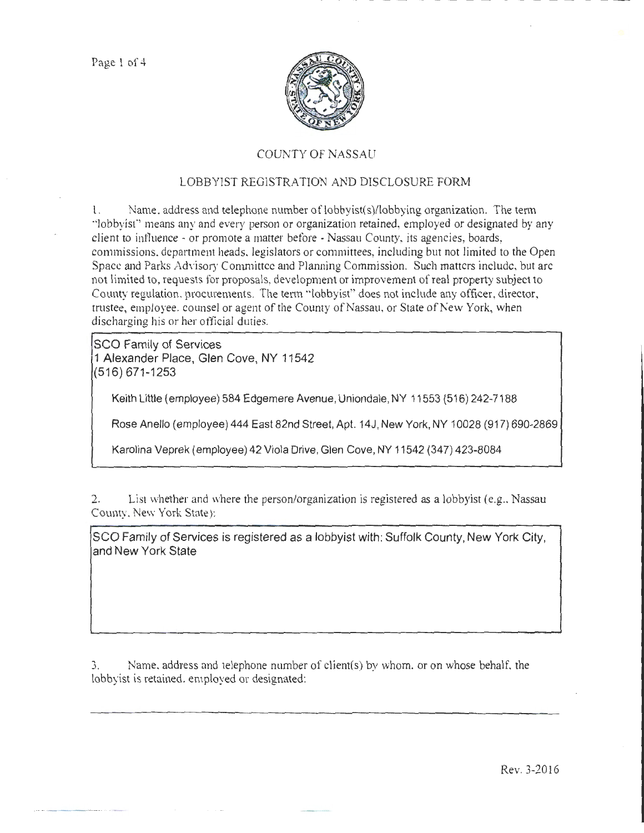

## COUNTY OF NASSAU

## LOBBYIST REGISTRATION AND DISCLOSURE FORM

1. Name, address and telephone number of lobbyist(s)/lobbying organization. The term ·'lobbyist"' means any and every person or organization retained, employed or designated by any client to intluence - or promote a matter before -Nassau County, its agencies, boards, commissions. department heads. legislators or committees, including but not limited to the Open Space and Parks Advisory Committee and Planning Commission. Such matters include, but arc not limited to, requests for proposals, development or improvement of real property subject to County regulation. procurements. The tenn "'lobbyist" does not include any officer, director, trustee, employee. counsel or agent of the County of Nassau, or State of New York, when discharging his or her official duties.

SCO Family of Services 1 Alexander Place, Glen Cove, NY 11542 (516) 671-1253

Keith Little (employee) 584 Edgemere Avenue, Uniondale, NY 11553 (516) 242-7188

Rose Anello (employee) 444 East 82nd Street, Apt. 14J, New York, NY 10028 (917) 690-2869

Karolina Veprek (employee) 42 Viola Drive, Glen Cove, NY 11542 (347) 423-8084

2. List whether and where the person/organization is registered as a lobbyist (e.g., Nassau County. New York State):

SCO Family of Services is registered as a lobbyist with: Suffolk County, New York City, and New York State

3. Name. address and telephone number of client(s) by whom. or on whose behalf. the lobbyist is retained. employed or designated:

Rev. 3-2016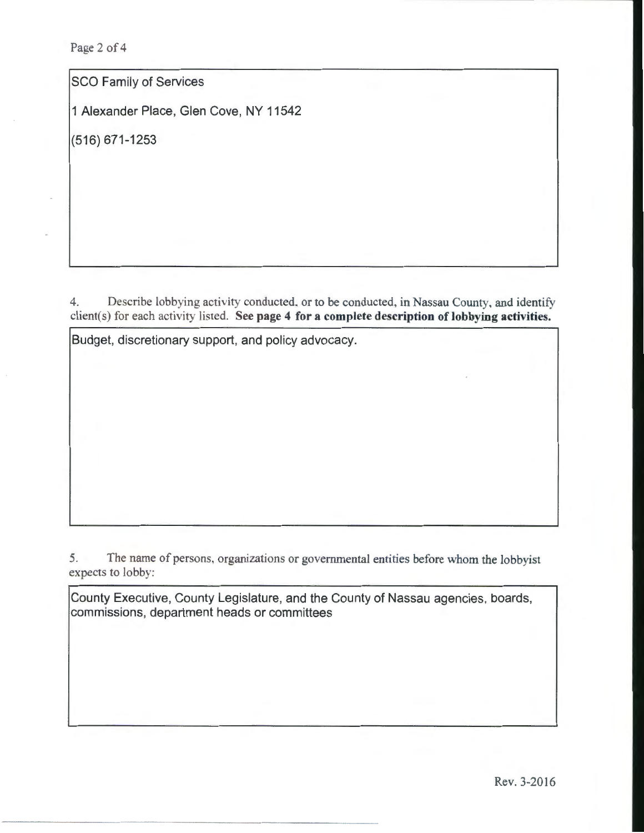Page 2 of 4

SCO Family of Services

1 Alexander Place, Glen Cove, NY 11542

(516) 671-1253

4. Describe lobbying activity conducted. or to be conducted, in Nassau County, and identify client(s) for each activity listed. See page 4 for a complete description of lobbying activities.

Budget, discretionary support, and policy advocacy.

5. The name of persons, organizations or governmental entities before whom the lobbyist expects to lobby:

County Executive, County Legislature, and the County of Nassau agencies, boards, commissions, department heads or committees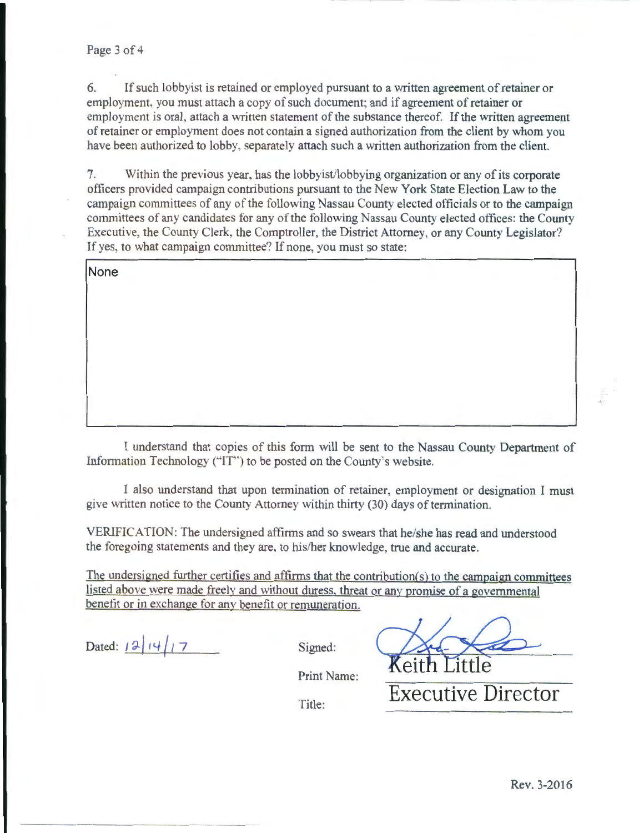6. If such lobbyist is retained or employed pursuant to a written agreement of retainer or employment. you must attach a copy of such document; and if agreement of retainer or employment is oral. attach a written statement of the substance thereof. If the written agreement of retainer or employment does not contain a signed authorization from the client by whom you have been authorized to lobby. separately attach such a written authorization from the client.

7. Within the previous year. has the lobbyist/lobbying organization or any of its corporate officers provided campaign contributions pursuant to the New York State Election Law to the campaign committees of any of the following Nassau County elected officials or to the campaign committees of any candidates for any of the following Nassau County elected offices: the County Executive, the County Clerk, the Comptroller, the District Attorney, or any County Legislator? If yes, to what campaign committee? If none, you must so state:

**None** 

I understand that copies of this form will be sent to the Nassau County Department of Information Technology ("IT") to be posted on the County's website.

1 also tmderstand that upon termination of retainer, employment or designation I must give written notice to the County Attorney within thirty (30) days of termination.

VERIFICATION: The undersigned affirms and so swears that he/she has read and understood the foregoing statements and they are. to his/her knowledge, true and accurate.

The undersigned further certifies and affirms that the contribution(s) to the campaign committees listed above were made freelv and without duress. threat or any promise of a governmental benefit or in exchange for any benefit or remuneration.

Dated:  $\left| \frac{\partial}{\partial t} \right| \left| \frac{\partial}{\partial t} \right| = \frac{1}{2}$  Signed:

- -------- -- -- -- - --

Keith

Print Name:

Title: **Executive Director**